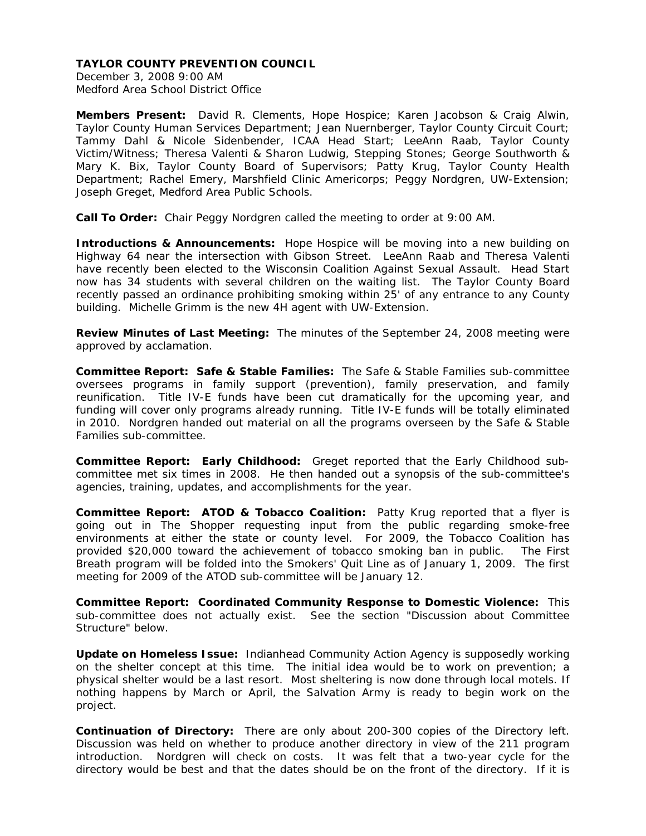December 3, 2008 9:00 AM Medford Area School District Office

**Members Present:** David R. Clements, Hope Hospice; Karen Jacobson & Craig Alwin, Taylor County Human Services Department; Jean Nuernberger, Taylor County Circuit Court; Tammy Dahl & Nicole Sidenbender, ICAA Head Start; LeeAnn Raab, Taylor County Victim/Witness; Theresa Valenti & Sharon Ludwig, Stepping Stones; George Southworth & Mary K. Bix, Taylor County Board of Supervisors; Patty Krug, Taylor County Health Department; Rachel Emery, Marshfield Clinic Americorps; Peggy Nordgren, UW-Extension; Joseph Greget, Medford Area Public Schools.

**Call To Order:** Chair Peggy Nordgren called the meeting to order at 9:00 AM.

**Introductions & Announcements:** Hope Hospice will be moving into a new building on Highway 64 near the intersection with Gibson Street. LeeAnn Raab and Theresa Valenti have recently been elected to the Wisconsin Coalition Against Sexual Assault. Head Start now has 34 students with several children on the waiting list. The Taylor County Board recently passed an ordinance prohibiting smoking within 25' of any entrance to any County building. Michelle Grimm is the new 4H agent with UW-Extension.

**Review Minutes of Last Meeting:** The minutes of the September 24, 2008 meeting were approved by acclamation.

**Committee Report: Safe & Stable Families:** The Safe & Stable Families sub-committee oversees programs in family support (prevention), family preservation, and family reunification. Title IV-E funds have been cut dramatically for the upcoming year, and funding will cover only programs already running. Title IV-E funds will be totally eliminated in 2010. Nordgren handed out material on all the programs overseen by the Safe & Stable Families sub-committee.

**Committee Report: Early Childhood:** Greget reported that the Early Childhood subcommittee met six times in 2008. He then handed out a synopsis of the sub-committee's agencies, training, updates, and accomplishments for the year.

**Committee Report: ATOD & Tobacco Coalition:** Patty Krug reported that a flyer is going out in The Shopper requesting input from the public regarding smoke-free environments at either the state or county level. For 2009, the Tobacco Coalition has provided \$20,000 toward the achievement of tobacco smoking ban in public. The First Breath program will be folded into the Smokers' Quit Line as of January 1, 2009. The first meeting for 2009 of the ATOD sub-committee will be January 12.

**Committee Report: Coordinated Community Response to Domestic Violence:** This sub-committee does not actually exist. See the section "Discussion about Committee Structure" below.

**Update on Homeless Issue:** Indianhead Community Action Agency is supposedly working on the shelter concept at this time. The initial idea would be to work on prevention; a physical shelter would be a last resort. Most sheltering is now done through local motels. If nothing happens by March or April, the Salvation Army is ready to begin work on the project.

**Continuation of Directory:** There are only about 200-300 copies of the Directory left. Discussion was held on whether to produce another directory in view of the 211 program introduction. Nordgren will check on costs. It was felt that a two-year cycle for the directory would be best and that the dates should be on the front of the directory. If it is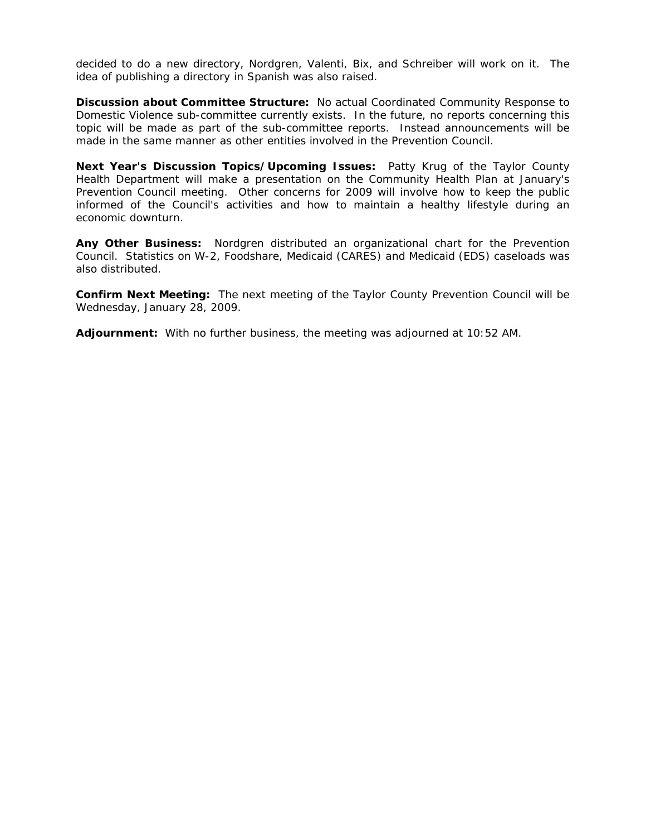decided to do a new directory, Nordgren, Valenti, Bix, and Schreiber will work on it. The idea of publishing a directory in Spanish was also raised.

**Discussion about Committee Structure:** No actual Coordinated Community Response to Domestic Violence sub-committee currently exists. In the future, no reports concerning this topic will be made as part of the sub-committee reports. Instead announcements will be made in the same manner as other entities involved in the Prevention Council.

**Next Year's Discussion Topics/Upcoming Issues:** Patty Krug of the Taylor County Health Department will make a presentation on the Community Health Plan at January's Prevention Council meeting. Other concerns for 2009 will involve how to keep the public informed of the Council's activities and how to maintain a healthy lifestyle during an economic downturn.

**Any Other Business:** Nordgren distributed an organizational chart for the Prevention Council. Statistics on W-2, Foodshare, Medicaid (CARES) and Medicaid (EDS) caseloads was also distributed.

**Confirm Next Meeting:** The next meeting of the Taylor County Prevention Council will be Wednesday, January 28, 2009.

**Adjournment:** With no further business, the meeting was adjourned at 10:52 AM.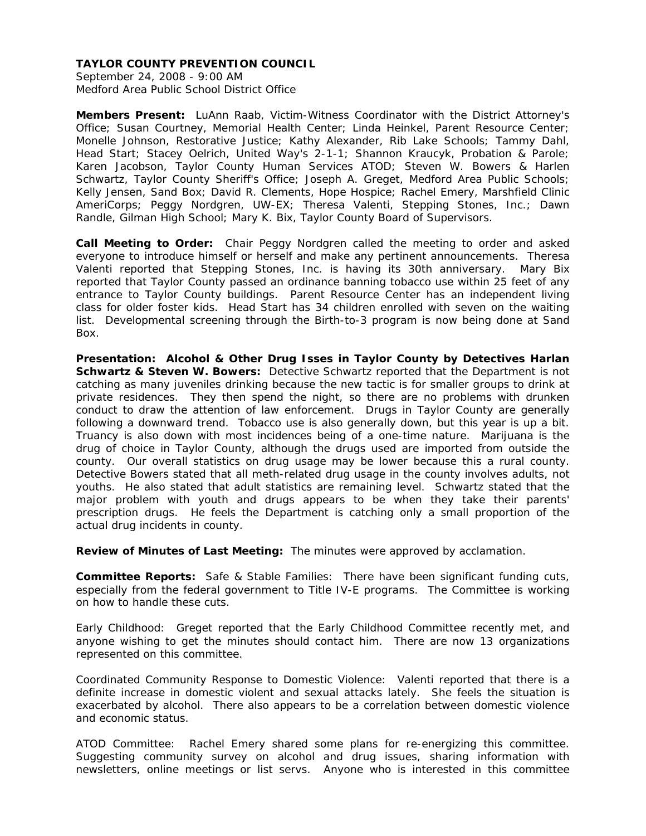September 24, 2008 - 9:00 AM Medford Area Public School District Office

**Members Present:** LuAnn Raab, Victim-Witness Coordinator with the District Attorney's Office; Susan Courtney, Memorial Health Center; Linda Heinkel, Parent Resource Center; Monelle Johnson, Restorative Justice; Kathy Alexander, Rib Lake Schools; Tammy Dahl, Head Start; Stacey Oelrich, United Way's 2-1-1; Shannon Kraucyk, Probation & Parole; Karen Jacobson, Taylor County Human Services ATOD; Steven W. Bowers & Harlen Schwartz, Taylor County Sheriff's Office; Joseph A. Greget, Medford Area Public Schools; Kelly Jensen, Sand Box; David R. Clements, Hope Hospice; Rachel Emery, Marshfield Clinic AmeriCorps; Peggy Nordgren, UW-EX; Theresa Valenti, Stepping Stones, Inc.; Dawn Randle, Gilman High School; Mary K. Bix, Taylor County Board of Supervisors.

**Call Meeting to Order:** Chair Peggy Nordgren called the meeting to order and asked everyone to introduce himself or herself and make any pertinent announcements. Theresa Valenti reported that Stepping Stones, Inc. is having its 30th anniversary. Mary Bix reported that Taylor County passed an ordinance banning tobacco use within 25 feet of any entrance to Taylor County buildings. Parent Resource Center has an independent living class for older foster kids. Head Start has 34 children enrolled with seven on the waiting list. Developmental screening through the Birth-to-3 program is now being done at Sand Box.

**Presentation: Alcohol & Other Drug Isses in Taylor County by Detectives Harlan Schwartz & Steven W. Bowers:** Detective Schwartz reported that the Department is not catching as many juveniles drinking because the new tactic is for smaller groups to drink at private residences. They then spend the night, so there are no problems with drunken conduct to draw the attention of law enforcement. Drugs in Taylor County are generally following a downward trend. Tobacco use is also generally down, but this year is up a bit. Truancy is also down with most incidences being of a one-time nature. Marijuana is the drug of choice in Taylor County, although the drugs used are imported from outside the county. Our overall statistics on drug usage may be lower because this a rural county. Detective Bowers stated that all meth-related drug usage in the county involves adults, not youths. He also stated that adult statistics are remaining level. Schwartz stated that the major problem with youth and drugs appears to be when they take their parents' prescription drugs. He feels the Department is catching only a small proportion of the actual drug incidents in county.

**Review of Minutes of Last Meeting:** The minutes were approved by acclamation.

**Committee Reports:** Safe & Stable Families: There have been significant funding cuts, especially from the federal government to Title IV-E programs. The Committee is working on how to handle these cuts.

Early Childhood: Greget reported that the Early Childhood Committee recently met, and anyone wishing to get the minutes should contact him. There are now 13 organizations represented on this committee.

Coordinated Community Response to Domestic Violence: Valenti reported that there is a definite increase in domestic violent and sexual attacks lately. She feels the situation is exacerbated by alcohol. There also appears to be a correlation between domestic violence and economic status.

ATOD Committee: Rachel Emery shared some plans for re-energizing this committee. Suggesting community survey on alcohol and drug issues, sharing information with newsletters, online meetings or list servs. Anyone who is interested in this committee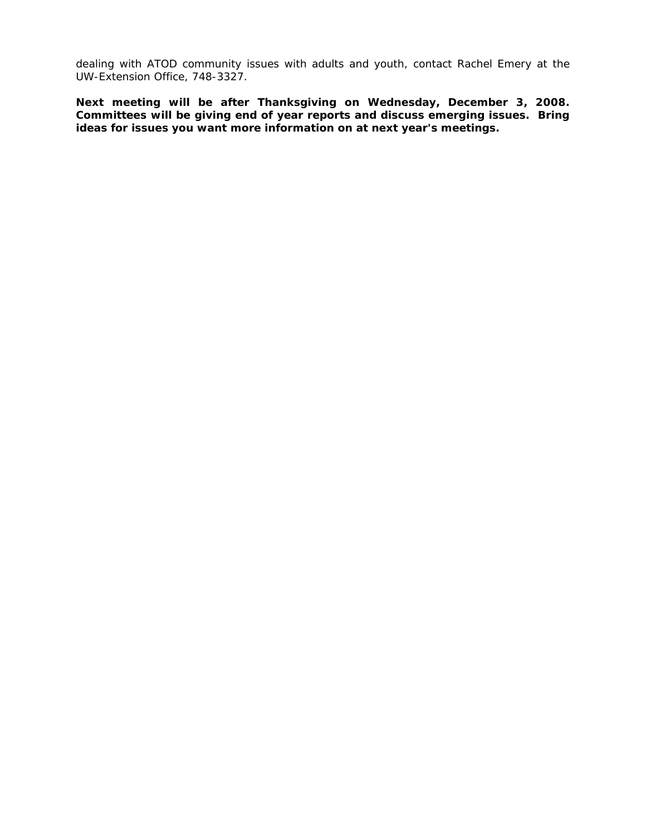dealing with ATOD community issues with adults and youth, contact Rachel Emery at the UW-Extension Office, 748-3327.

**Next meeting will be after Thanksgiving on Wednesday, December 3, 2008. Committees will be giving end of year reports and discuss emerging issues. Bring ideas for issues you want more information on at next year's meetings.**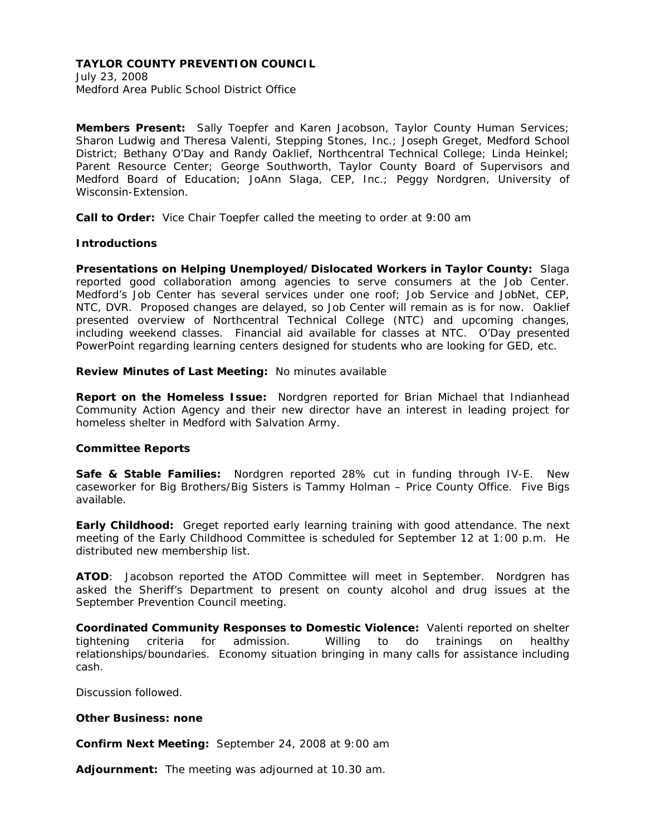July 23, 2008 Medford Area Public School District Office

**Members Present:** Sally Toepfer and Karen Jacobson, Taylor County Human Services; Sharon Ludwig and Theresa Valenti, Stepping Stones, Inc.; Joseph Greget, Medford School District; Bethany O'Day and Randy Oaklief, Northcentral Technical College; Linda Heinkel; Parent Resource Center; George Southworth, Taylor County Board of Supervisors and Medford Board of Education; JoAnn Slaga, CEP, Inc.; Peggy Nordgren, University of Wisconsin-Extension.

**Call to Order:** Vice Chair Toepfer called the meeting to order at 9:00 am

#### **Introductions**

**Presentations on Helping Unemployed/Dislocated Workers in Taylor County:** Slaga reported good collaboration among agencies to serve consumers at the Job Center. Medford's Job Center has several services under one roof; Job Service and JobNet, CEP, NTC, DVR. Proposed changes are delayed, so Job Center will remain as is for now. Oaklief presented overview of Northcentral Technical College (NTC) and upcoming changes, including weekend classes. Financial aid available for classes at NTC. O'Day presented PowerPoint regarding learning centers designed for students who are looking for GED, etc.

### **Review Minutes of Last Meeting:** No minutes available

**Report on the Homeless Issue:** Nordgren reported for Brian Michael that Indianhead Community Action Agency and their new director have an interest in leading project for homeless shelter in Medford with Salvation Army.

## **Committee Reports**

**Safe & Stable Families:** Nordgren reported 28% cut in funding through IV-E. New caseworker for Big Brothers/Big Sisters is Tammy Holman – Price County Office. Five Bigs available.

**Early Childhood:** Greget reported early learning training with good attendance. The next meeting of the Early Childhood Committee is scheduled for September 12 at 1:00 p.m. He distributed new membership list.

**ATOD**: Jacobson reported the ATOD Committee will meet in September. Nordgren has asked the Sheriff's Department to present on county alcohol and drug issues at the September Prevention Council meeting.

**Coordinated Community Responses to Domestic Violence:** Valenti reported on shelter tightening criteria for admission. Willing to do trainings on healthy relationships/boundaries. Economy situation bringing in many calls for assistance including cash.

Discussion followed.

#### **Other Business: none**

**Confirm Next Meeting:** September 24, 2008 at 9:00 am

**Adjournment:** The meeting was adjourned at 10.30 am.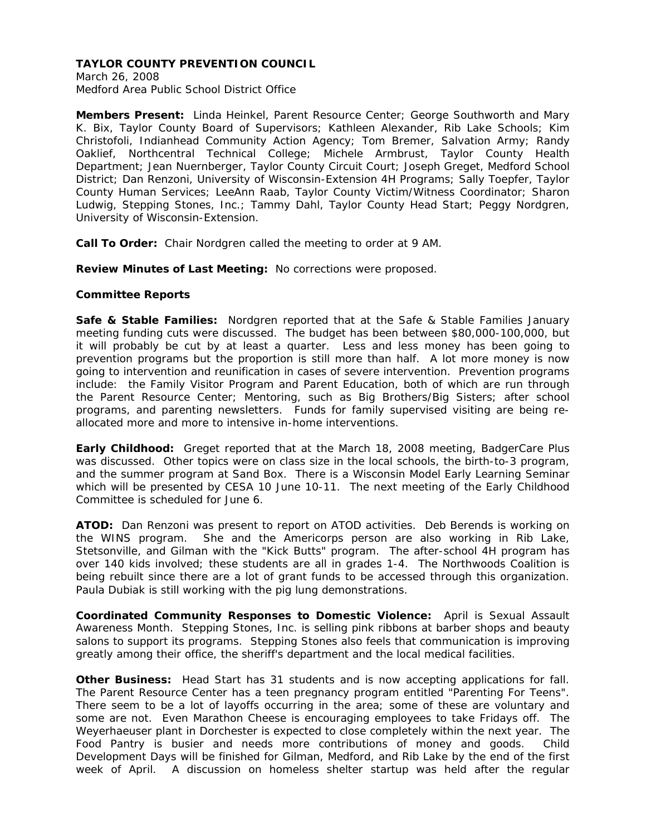March 26, 2008 Medford Area Public School District Office

**Members Present:** Linda Heinkel, Parent Resource Center; George Southworth and Mary K. Bix, Taylor County Board of Supervisors; Kathleen Alexander, Rib Lake Schools; Kim Christofoli, Indianhead Community Action Agency; Tom Bremer, Salvation Army; Randy Oaklief, Northcentral Technical College; Michele Armbrust, Taylor County Health Department; Jean Nuernberger, Taylor County Circuit Court; Joseph Greget, Medford School District; Dan Renzoni, University of Wisconsin-Extension 4H Programs; Sally Toepfer, Taylor County Human Services; LeeAnn Raab, Taylor County Victim/Witness Coordinator; Sharon Ludwig, Stepping Stones, Inc.; Tammy Dahl, Taylor County Head Start; Peggy Nordgren, University of Wisconsin-Extension.

**Call To Order:** Chair Nordgren called the meeting to order at 9 AM.

**Review Minutes of Last Meeting:** No corrections were proposed.

# **Committee Reports**

**Safe & Stable Families:** Nordgren reported that at the Safe & Stable Families January meeting funding cuts were discussed. The budget has been between \$80,000-100,000, but it will probably be cut by at least a quarter. Less and less money has been going to prevention programs but the proportion is still more than half. A lot more money is now going to intervention and reunification in cases of severe intervention. Prevention programs include: the Family Visitor Program and Parent Education, both of which are run through the Parent Resource Center; Mentoring, such as Big Brothers/Big Sisters; after school programs, and parenting newsletters. Funds for family supervised visiting are being reallocated more and more to intensive in-home interventions.

**Early Childhood:** Greget reported that at the March 18, 2008 meeting, BadgerCare Plus was discussed. Other topics were on class size in the local schools, the birth-to-3 program, and the summer program at Sand Box. There is a Wisconsin Model Early Learning Seminar which will be presented by CESA 10 June 10-11. The next meeting of the Early Childhood Committee is scheduled for June 6.

**ATOD:** Dan Renzoni was present to report on ATOD activities. Deb Berends is working on the WINS program. She and the Americorps person are also working in Rib Lake, Stetsonville, and Gilman with the "Kick Butts" program. The after-school 4H program has over 140 kids involved; these students are all in grades 1-4. The Northwoods Coalition is being rebuilt since there are a lot of grant funds to be accessed through this organization. Paula Dubiak is still working with the pig lung demonstrations.

**Coordinated Community Responses to Domestic Violence:** April is Sexual Assault Awareness Month. Stepping Stones, Inc. is selling pink ribbons at barber shops and beauty salons to support its programs. Stepping Stones also feels that communication is improving greatly among their office, the sheriff's department and the local medical facilities.

**Other Business:** Head Start has 31 students and is now accepting applications for fall. The Parent Resource Center has a teen pregnancy program entitled "Parenting For Teens". There seem to be a lot of layoffs occurring in the area; some of these are voluntary and some are not. Even Marathon Cheese is encouraging employees to take Fridays off. The Weyerhaeuser plant in Dorchester is expected to close completely within the next year. The Food Pantry is busier and needs more contributions of money and goods. Child Development Days will be finished for Gilman, Medford, and Rib Lake by the end of the first week of April. A discussion on homeless shelter startup was held after the regular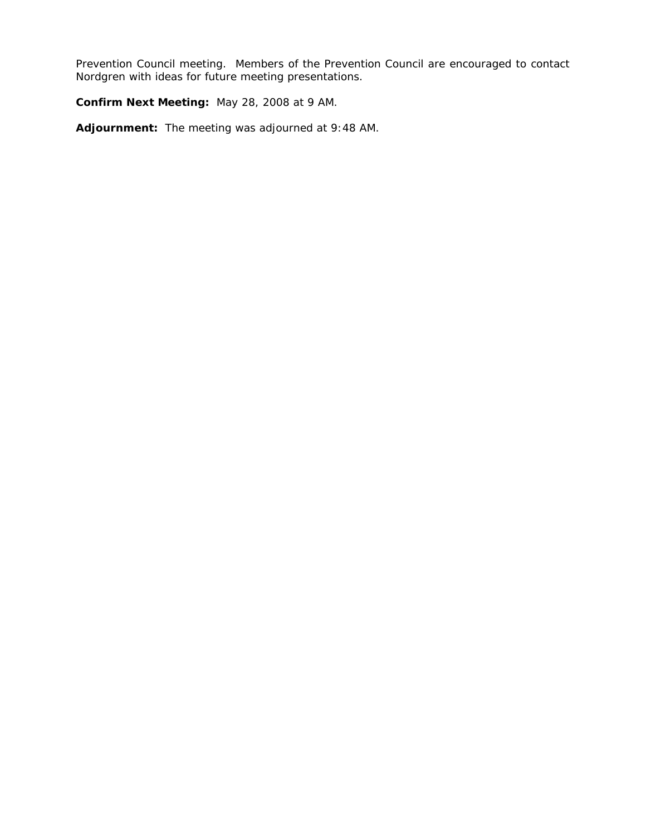Prevention Council meeting. Members of the Prevention Council are encouraged to contact Nordgren with ideas for future meeting presentations.

**Confirm Next Meeting:** May 28, 2008 at 9 AM.

**Adjournment:** The meeting was adjourned at 9:48 AM.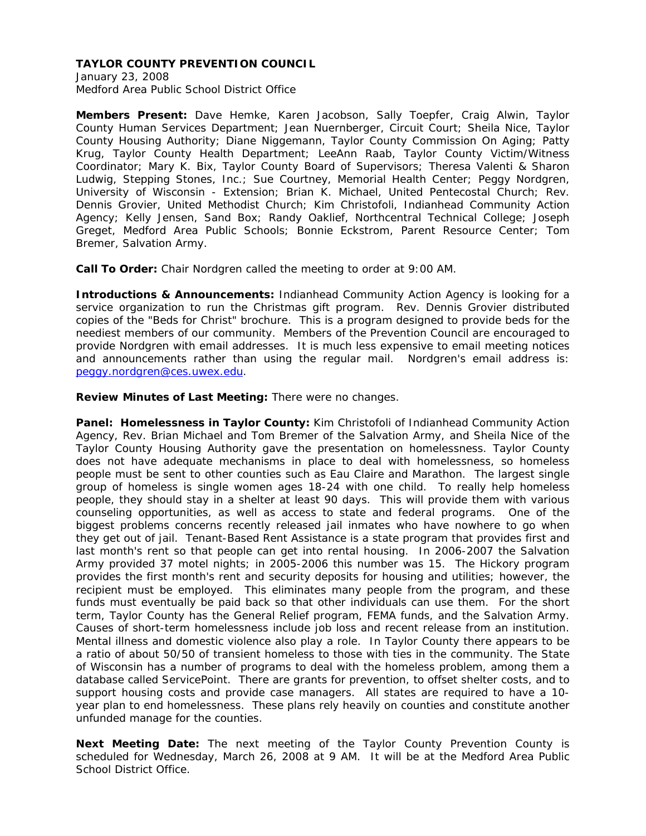January 23, 2008 Medford Area Public School District Office

**Members Present:** Dave Hemke, Karen Jacobson, Sally Toepfer, Craig Alwin, Taylor County Human Services Department; Jean Nuernberger, Circuit Court; Sheila Nice, Taylor County Housing Authority; Diane Niggemann, Taylor County Commission On Aging; Patty Krug, Taylor County Health Department; LeeAnn Raab, Taylor County Victim/Witness Coordinator; Mary K. Bix, Taylor County Board of Supervisors; Theresa Valenti & Sharon Ludwig, Stepping Stones, Inc.; Sue Courtney, Memorial Health Center; Peggy Nordgren, University of Wisconsin - Extension; Brian K. Michael, United Pentecostal Church; Rev. Dennis Grovier, United Methodist Church; Kim Christofoli, Indianhead Community Action Agency; Kelly Jensen, Sand Box; Randy Oaklief, Northcentral Technical College; Joseph Greget, Medford Area Public Schools; Bonnie Eckstrom, Parent Resource Center; Tom Bremer, Salvation Army.

**Call To Order:** Chair Nordgren called the meeting to order at 9:00 AM.

**Introductions & Announcements:** Indianhead Community Action Agency is looking for a service organization to run the Christmas gift program. Rev. Dennis Grovier distributed copies of the "Beds for Christ" brochure. This is a program designed to provide beds for the neediest members of our community. Members of the Prevention Council are encouraged to provide Nordgren with email addresses. It is much less expensive to email meeting notices and announcements rather than using the regular mail. Nordgren's email address is: peggy.nordgren@ces.uwex.edu.

**Review Minutes of Last Meeting:** There were no changes.

**Panel: Homelessness in Taylor County:** Kim Christofoli of Indianhead Community Action Agency, Rev. Brian Michael and Tom Bremer of the Salvation Army, and Sheila Nice of the Taylor County Housing Authority gave the presentation on homelessness. Taylor County does not have adequate mechanisms in place to deal with homelessness, so homeless people must be sent to other counties such as Eau Claire and Marathon. The largest single group of homeless is single women ages 18-24 with one child. To really help homeless people, they should stay in a shelter at least 90 days. This will provide them with various counseling opportunities, as well as access to state and federal programs. One of the biggest problems concerns recently released jail inmates who have nowhere to go when they get out of jail. Tenant-Based Rent Assistance is a state program that provides first and last month's rent so that people can get into rental housing. In 2006-2007 the Salvation Army provided 37 motel nights; in 2005-2006 this number was 15. The Hickory program provides the first month's rent and security deposits for housing and utilities; however, the recipient must be employed. This eliminates many people from the program, and these funds must eventually be paid back so that other individuals can use them. For the short term, Taylor County has the General Relief program, FEMA funds, and the Salvation Army. Causes of short-term homelessness include job loss and recent release from an institution. Mental illness and domestic violence also play a role. In Taylor County there appears to be a ratio of about 50/50 of transient homeless to those with ties in the community. The State of Wisconsin has a number of programs to deal with the homeless problem, among them a database called ServicePoint. There are grants for prevention, to offset shelter costs, and to support housing costs and provide case managers. All states are required to have a 10 year plan to end homelessness. These plans rely heavily on counties and constitute another unfunded manage for the counties.

**Next Meeting Date:** The next meeting of the Taylor County Prevention County is scheduled for Wednesday, March 26, 2008 at 9 AM. It will be at the Medford Area Public School District Office.